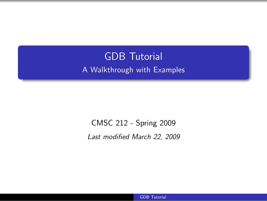# GDB Tutorial A Walkthrough with Examples

CMSC 212 - Spring 2009

Last modified March 22, 2009

<span id="page-0-0"></span>GDB Tutorial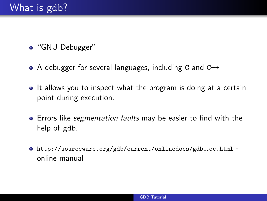- "GNU Debugger"
- A debugger for several languages, including C and C++
- It allows you to inspect what the program is doing at a certain point during execution.
- **•** Errors like *segmentation faults* may be easier to find with the help of gdb.
- [http://sourceware.org/gdb/current/onlinedocs/gdb](http://sourceware.org/gdb/current/onlinedocs/gdb_toc.html) toc.html online manual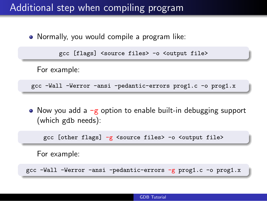### Additional step when compiling program

Normally, you would compile a program like:

gcc [flags] <source files> -o <output file>

For example:

gcc -Wall -Werror -ansi -pedantic-errors prog1.c -o prog1.x

• Now you add a  $-g$  option to enable built-in debugging support (which gdb needs):

gcc [other flags] -g <source files> -o <output file>

For example:

gcc -Wall -Werror -ansi -pedantic-errors -g prog1.c -o prog1.x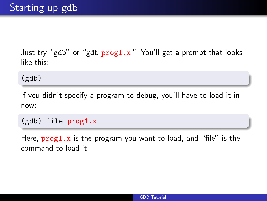Just try "gdb" or "gdb prog1.x." You'll get a prompt that looks like this:

(gdb)

If you didn't specify a program to debug, you'll have to load it in now:

(gdb) file prog1.x

Here,  $proj1.x$  is the program you want to load, and "file" is the command to load it.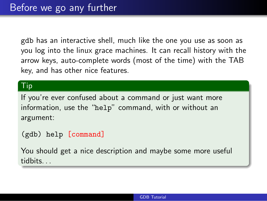gdb has an interactive shell, much like the one you use as soon as you log into the linux grace machines. It can recall history with the arrow keys, auto-complete words (most of the time) with the TAB key, and has other nice features.

### Tip

If you're ever confused about a command or just want more information, use the "help" command, with or without an argument:

(gdb) help [command]

You should get a nice description and maybe some more useful tidbits. . .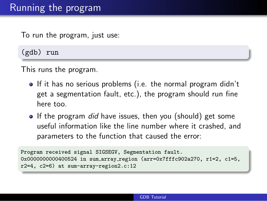## Running the program

To run the program, just use:

(gdb) run

This runs the program.

- If it has no serious problems (i.e. the normal program didn't get a segmentation fault, etc.), the program should run fine here too.
- If the program did have issues, then you (should) get some useful information like the line number where it crashed, and parameters to the function that caused the error:

Program received signal SIGSEGV, Segmentation fault. 0x0000000000400524 in sum array region (arr=0x7fffc902a270, r1=2, c1=5, r2=4, c2=6) at sum-array-region2.c:12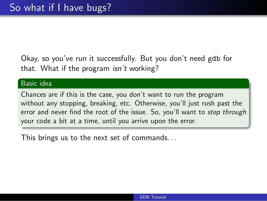Okay, so you've run it successfully. But you don't need gdb for that. What if the program *isn't* working?

#### Basic idea

Chances are if this is the case, you don't want to run the program without any stopping, breaking, etc. Otherwise, you'll just rush past the error and never find the root of the issue. So, you'll want to *step through* your code a bit at a time, until you arrive upon the error.

This brings us to the next set of commands. . .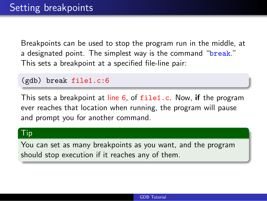Breakpoints can be used to stop the program run in the middle, at a designated point. The simplest way is the command "break." This sets a breakpoint at a specified file-line pair:

#### (gdb) break file1.c:6

This sets a breakpoint at line 6, of file1.c. Now, if the program ever reaches that location when running, the program will pause and prompt you for another command.

#### Tip

You can set as many breakpoints as you want, and the program should stop execution if it reaches any of them.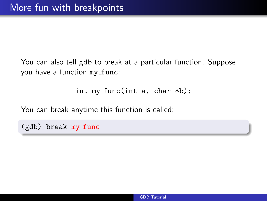You can also tell gdb to break at a particular function. Suppose you have a function my\_func:

int my func(int a, char \*b);

You can break anytime this function is called:

(gdb) break my func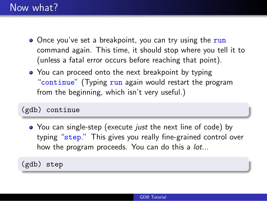### Now what?

- Once you've set a breakpoint, you can try using the run command again. This time, it should stop where you tell it to (unless a fatal error occurs before reaching that point).
- You can proceed onto the next breakpoint by typing "continue" (Typing run again would restart the program from the beginning, which isn't very useful.)

### (gdb) continue

• You can single-step (execute *just* the next line of code) by typing "step." This gives you really fine-grained control over how the program proceeds. You can do this a *lot...* 

(gdb) step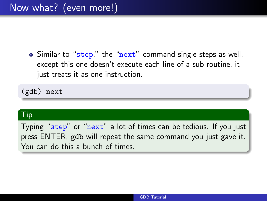• Similar to "step," the "next" command single-steps as well, except this one doesn't execute each line of a sub-routine, it just treats it as one instruction.

(gdb) next

### Tip

Typing "step" or "next" a lot of times can be tedious. If you just press ENTER, gdb will repeat the same command you just gave it. You can do this a bunch of times.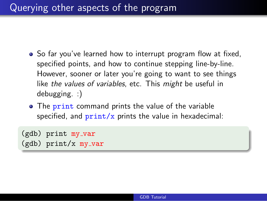- So far you've learned how to interrupt program flow at fixed, specified points, and how to continue stepping line-by-line. However, sooner or later you're going to want to see things like the values of variables, etc. This might be useful in debugging. :)
- The print command prints the value of the variable specified, and  $print/x$  prints the value in hexadecimal:

```
(gdb) print my_var
(gdb) print/x my_var
```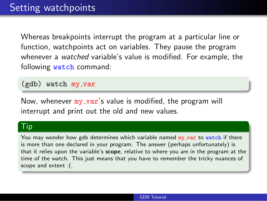Whereas breakpoints interrupt the program at a particular line or function, watchpoints act on variables. They pause the program whenever a watched variable's value is modified. For example, the following watch command:

 $(gdb)$  watch my var

Now, whenever  $my_{var}$ 's value is modified, the program will interrupt and print out the old and new values.

#### $\mathsf{T}$ ip

You may wonder how gdb determines which variable named my\_var to watch if there is more than one declared in your program. The answer (perhaps unfortunately) is that it relies upon the variable's scope, relative to where you are in the program at the time of the watch. This just means that you have to remember the tricky nuances of scope and extent :(.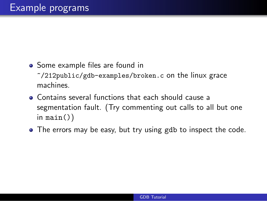• Some example files are found in

 $\gamma$ 212public/gdb-examples/broken.c on the linux grace machines.

- Contains several functions that each should cause a segmentation fault. (Try commenting out calls to all but one in main $()$
- The errors may be easy, but try using gdb to inspect the code.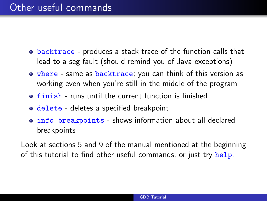## Other useful commands

- backtrace produces a stack trace of the function calls that lead to a seg fault (should remind you of Java exceptions)
- **•** where same as backtrace; you can think of this version as working even when you're still in the middle of the program
- **finish** runs until the current function is finished
- o delete deletes a specified breakpoint
- info breakpoints shows information about all declared breakpoints

Look at sections 5 and 9 of the manual mentioned at the beginning of this tutorial to find other useful commands, or just try help.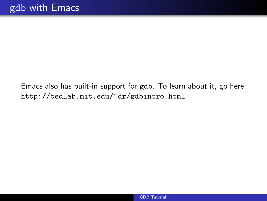Emacs also has built-in support for gdb. To learn about it, go here: http://tedlab.mit.edu/~dr/gdbintro.html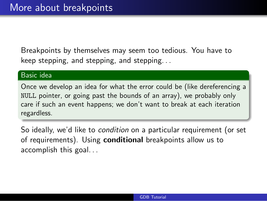Breakpoints by themselves may seem too tedious. You have to keep stepping, and stepping, and stepping. . .

#### Basic idea

Once we develop an idea for what the error could be (like dereferencing a NULL pointer, or going past the bounds of an array), we probably only care if such an event happens; we don't want to break at each iteration regardless.

So ideally, we'd like to condition on a particular requirement (or set of requirements). Using **conditional** breakpoints allow us to accomplish this goal. . .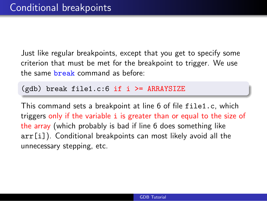Just like regular breakpoints, except that you get to specify some criterion that must be met for the breakpoint to trigger. We use the same break command as before:

 $(gdb)$  break file1.c:6 if i >= ARRAYSIZE

This command sets a breakpoint at line 6 of file file1.c, which triggers only if the variable i is greater than or equal to the size of the array (which probably is bad if line 6 does something like arr[i]). Conditional breakpoints can most likely avoid all the unnecessary stepping, etc.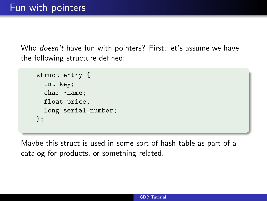Who *doesn't* have fun with pointers? First, let's assume we have the following structure defined:

```
struct entry {
  int key;
  char *name;
  float price;
  long serial_number;
};
```
Maybe this struct is used in some sort of hash table as part of a catalog for products, or something related.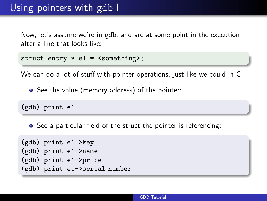## Using pointers with gdb I

Now, let's assume we're in gdb, and are at some point in the execution after a line that looks like:

```
struct entry * e1 = \langlesomething>;
```
We can do a lot of stuff with pointer operations, just like we could in C.

• See the value (memory address) of the pointer:

(gdb) print e1

• See a particular field of the struct the pointer is referencing:

```
(gdb) print e1->key
(gdb) print e1->name
(gdb) print e1->price
(gdb) print e1->serial number
```